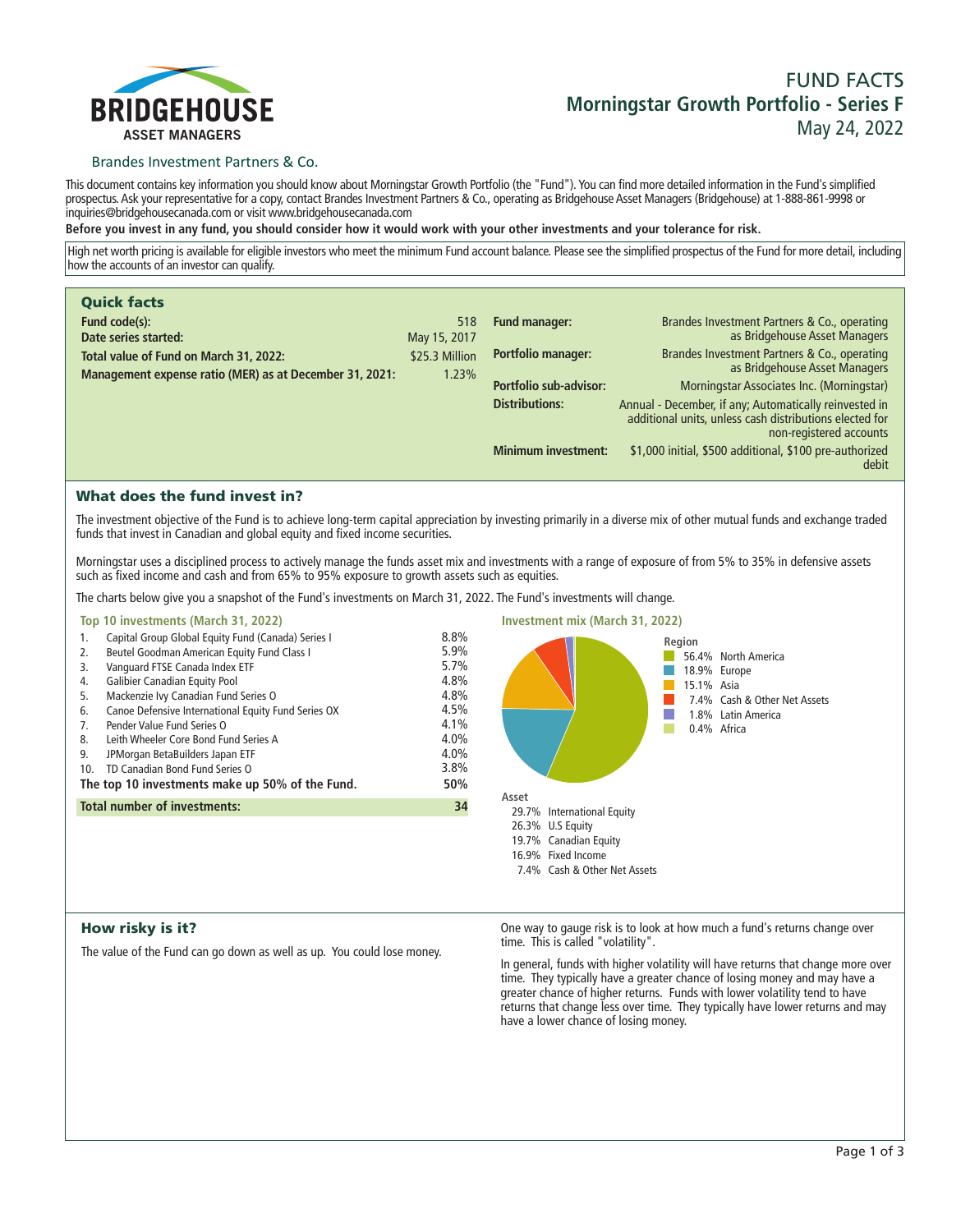

# **FUND FACTS Morningstar Growth Portfolio - Series F May 24, 2022**

### Brandes Investment Partners & Co.

**This document contains key information you should know about Morningstar Growth Portfolio (the "Fund"). You can find more detailed information in the Fund's simplified prospectus. Ask your representative for a copy, contact Brandes Investment Partners & Co., operating as Bridgehouse Asset Managers (Bridgehouse) at 1-888-861-9998 or inquiries@bridgehousecanada.com or visit www.bridgehousecanada.com**

**Before you invest in any fund, you should consider how it would work with your other investments and your tolerance for risk.**

**High net worth pricing is available for eligible investors who meet the minimum Fund account balance. Please see the simplified prospectus of the Fund for more detail, including how the accounts of an investor can qualify.**

| <b>Quick facts</b><br>Fund code(s):                                                               | 518                     | Fund manager:              |                                                                                                                                              |
|---------------------------------------------------------------------------------------------------|-------------------------|----------------------------|----------------------------------------------------------------------------------------------------------------------------------------------|
| Date series started:                                                                              | May 15, 2017            |                            | Brandes Investment Partners & Co., operating<br>as Bridgehouse Asset Managers                                                                |
| Total value of Fund on March 31, 2022:<br>Management expense ratio (MER) as at December 31, 2021: | \$25.3 Million<br>1.23% | Portfolio manager:         | Brandes Investment Partners & Co., operating<br>as Bridgehouse Asset Managers                                                                |
|                                                                                                   |                         | Portfolio sub-advisor:     | Morningstar Associates Inc. (Morningstar)                                                                                                    |
|                                                                                                   |                         | <b>Distributions:</b>      | Annual - December, if any; Automatically reinvested in<br>additional units, unless cash distributions elected for<br>non-registered accounts |
|                                                                                                   |                         | <b>Minimum investment:</b> | \$1,000 initial, \$500 additional, \$100 pre-authorized<br>debit                                                                             |

## What does the fund invest in?

**The investment objective of the Fund is to achieve long-term capital appreciation by investing primarily in a diverse mix of other mutual funds and exchange traded funds that invest in Canadian and global equity and fixed income securities.** 

**Morningstar uses a disciplined process to actively manage the funds asset mix and investments with a range of exposure of from 5% to 35% in defensive assets such as fixed income and cash and from 65% to 95% exposure to growth assets such as equities.**

**The charts below give you a snapshot of the Fund's investments on March 31, 2022. The Fund's investments will change.**

| Top 10 investments (March 31, 2022)                                                                                                                                                                                                                                                                                                                                                                                                                                                                                                    |                                                                                     | <b>Investment mix (March 31, 2022)</b>    |                                                                                                                                  |
|----------------------------------------------------------------------------------------------------------------------------------------------------------------------------------------------------------------------------------------------------------------------------------------------------------------------------------------------------------------------------------------------------------------------------------------------------------------------------------------------------------------------------------------|-------------------------------------------------------------------------------------|-------------------------------------------|----------------------------------------------------------------------------------------------------------------------------------|
| Capital Group Global Equity Fund (Canada) Series I<br>1.<br>Beutel Goodman American Equity Fund Class I<br>2.<br>Vanguard FTSE Canada Index ETF<br>3.<br><b>Galibier Canadian Equity Pool</b><br>4.<br>Mackenzie Ivy Canadian Fund Series O<br>5.<br>Canoe Defensive International Equity Fund Series OX<br>6.<br>Pender Value Fund Series O<br>7.<br>Leith Wheeler Core Bond Fund Series A<br>8.<br>9.<br>JPMorgan BetaBuilders Japan ETF<br>TD Canadian Bond Fund Series O<br>10.<br>The top 10 investments make up 50% of the Fund. | 8.8%<br>5.9%<br>5.7%<br>4.8%<br>4.8%<br>4.5%<br>4.1%<br>4.0%<br>4.0%<br>3.8%<br>50% | Asset                                     | Region<br>56.4% North America<br>18.9% Europe<br>15.1% Asia<br>7.4% Cash & Other Net Assets<br>1.8% Latin America<br>0.4% Africa |
| <b>Total number of investments:</b>                                                                                                                                                                                                                                                                                                                                                                                                                                                                                                    | 34                                                                                  | 29.7% International Equity                |                                                                                                                                  |
|                                                                                                                                                                                                                                                                                                                                                                                                                                                                                                                                        |                                                                                     | 26.3% U.S Equity<br>19.7% Canadian Equity |                                                                                                                                  |

**16.9% Fixed Income**

**7.4% Cash & Other Net Assets**

## How risky is it?

**The value of the Fund can go down as well as up. You could lose money.**

**One way to gauge risk is to look at how much a fund's returns change over time. This is called "volatility".**

**In general, funds with higher volatility will have returns that change more over time. They typically have a greater chance of losing money and may have a greater chance of higher returns. Funds with lower volatility tend to have returns that change less over time. They typically have lower returns and may have a lower chance of losing money.**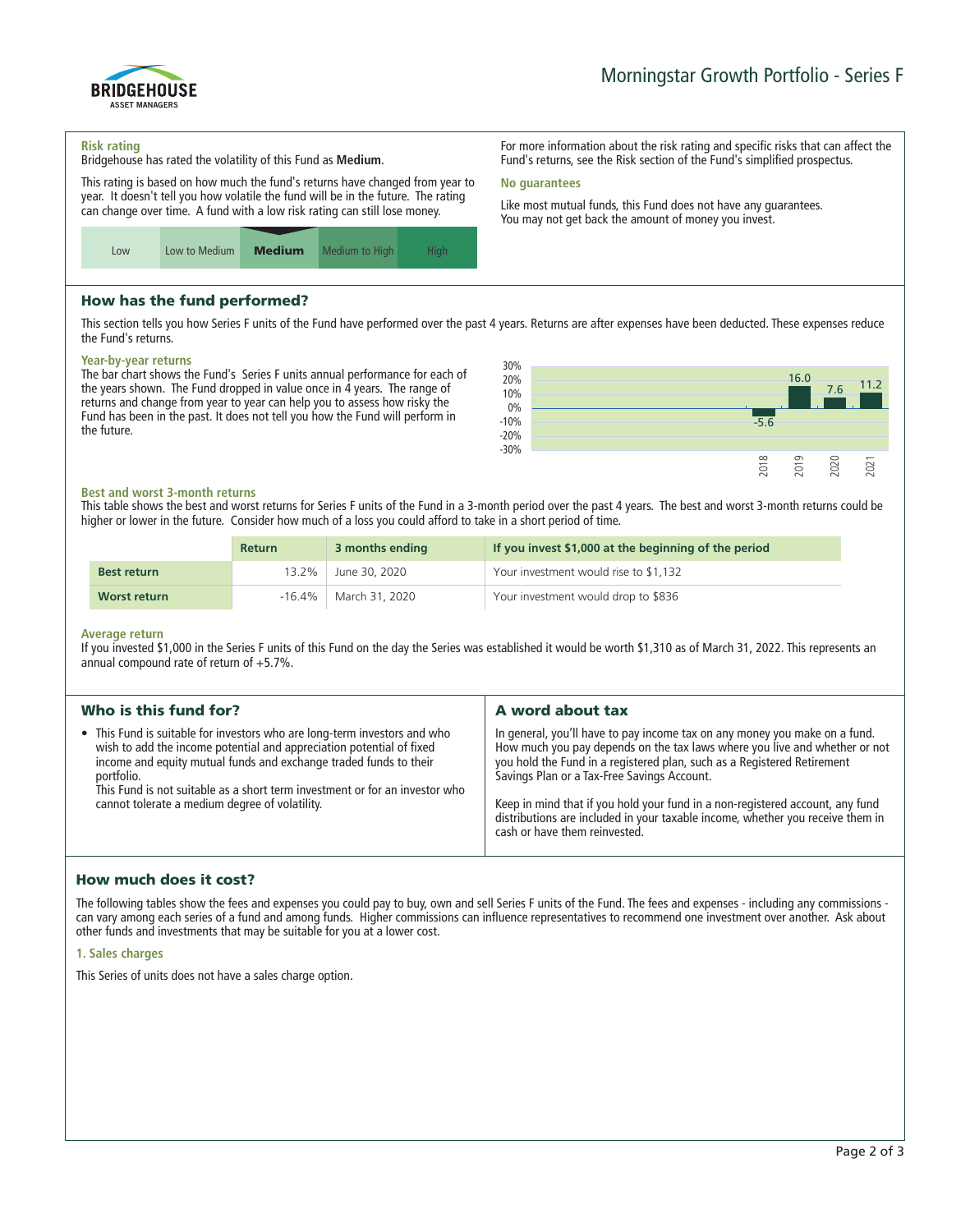

#### **Risk rating**

**Bridgehouse has rated the volatility of this Fund as Medium.**

**This rating is based on how much the fund's returns have changed from year to year. It doesn't tell you how volatile the fund will be in the future. The rating can change over time. A fund with a low risk rating can still lose money.**



## How has the fund performed?

**This section tells you how Series F units of the Fund have performed over the past 4 years. Returns are after expenses have been deducted. These expenses reduce the Fund's returns.**

**No guarantees**

#### **Year-by-year returns**

**The bar chart shows the Fund's Series F units annual performance for each of the years shown. The Fund dropped in value once in 4 years. The range of returns and change from year to year can help you to assess how risky the Fund has been in the past. It does not tell you how the Fund will perform in the future.**



**For more information about the risk rating and specific risks that can affect the Fund's returns, see the Risk section of the Fund's simplified prospectus.**

**Like most mutual funds, this Fund does not have any guarantees. You may not get back the amount of money you invest.**

#### **Best and worst 3-month returns**

**This table shows the best and worst returns for Series F units of the Fund in a 3-month period over the past 4 years. The best and worst 3-month returns could be higher or lower in the future. Consider how much of a loss you could afford to take in a short period of time.**

|                    | <b>Return</b> | 3 months ending | If you invest \$1,000 at the beginning of the period |
|--------------------|---------------|-----------------|------------------------------------------------------|
| <b>Best return</b> | 13.2%         | June 30, 2020   | Your investment would rise to \$1,132                |
| Worst return       | $-16.4\%$     | March 31, 2020  | Your investment would drop to \$836                  |

#### **Average return**

**If you invested \$1,000 in the Series F units of this Fund on the day the Series was established it would be worth \$1,310 as of March 31, 2022. This represents an annual compound rate of return of +5.7%.**

| Who is this fund for?                                                                                                                                                                                                                                                                                                                                                 | A word about tax                                                                                                                                                                                                                                                                                                                                                                                                                                                                       |
|-----------------------------------------------------------------------------------------------------------------------------------------------------------------------------------------------------------------------------------------------------------------------------------------------------------------------------------------------------------------------|----------------------------------------------------------------------------------------------------------------------------------------------------------------------------------------------------------------------------------------------------------------------------------------------------------------------------------------------------------------------------------------------------------------------------------------------------------------------------------------|
| • This Fund is suitable for investors who are long-term investors and who<br>wish to add the income potential and appreciation potential of fixed<br>income and equity mutual funds and exchange traded funds to their<br>portfolio.<br>This Fund is not suitable as a short term investment or for an investor who<br>cannot tolerate a medium degree of volatility. | In general, you'll have to pay income tax on any money you make on a fund.<br>How much you pay depends on the tax laws where you live and whether or not<br>you hold the Fund in a registered plan, such as a Registered Retirement<br>Savings Plan or a Tax-Free Savings Account.<br>Keep in mind that if you hold your fund in a non-registered account, any fund<br>distributions are included in your taxable income, whether you receive them in<br>cash or have them reinvested. |
|                                                                                                                                                                                                                                                                                                                                                                       |                                                                                                                                                                                                                                                                                                                                                                                                                                                                                        |

## How much does it cost?

**The following tables show the fees and expenses you could pay to buy, own and sell Series F units of the Fund. The fees and expenses - including any commissions can vary among each series of a fund and among funds. Higher commissions can influence representatives to recommend one investment over another. Ask about other funds and investments that may be suitable for you at a lower cost.**

#### **1. Sales charges**

**This Series of units does not have a sales charge option.**